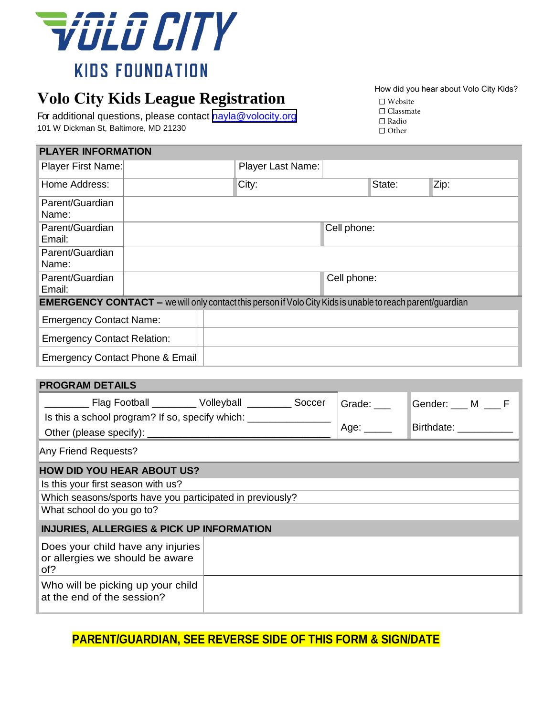

# **Volo City Kids League Registration**

For additional questions, please contact [nayla@](mailto:nayla@volocity.org)volocity.org 101 W Dickman St, Baltimore, MD 21230

| How did you hear about Volo City Kids? |
|----------------------------------------|
|----------------------------------------|

| $\Box$ Website   |  |
|------------------|--|
| $\Box$ Classmate |  |

| .     |
|-------|
| Radio |

☐ Other

| <b>PLAYER INFORMATION</b>                                                                                        |                                 |  |                   |             |        |                       |  |  |  |
|------------------------------------------------------------------------------------------------------------------|---------------------------------|--|-------------------|-------------|--------|-----------------------|--|--|--|
| Player First Name:                                                                                               |                                 |  | Player Last Name: |             |        |                       |  |  |  |
| Home Address:                                                                                                    |                                 |  | City:             |             | State: | Zip:                  |  |  |  |
| Parent/Guardian<br>Name:                                                                                         |                                 |  |                   |             |        |                       |  |  |  |
| Parent/Guardian<br>Email:                                                                                        |                                 |  |                   | Cell phone: |        |                       |  |  |  |
| Parent/Guardian<br>Name:                                                                                         |                                 |  |                   |             |        |                       |  |  |  |
| Parent/Guardian<br>Email:                                                                                        |                                 |  |                   | Cell phone: |        |                       |  |  |  |
| <b>EMERGENCY CONTACT</b> - we will only contact this person if Volo City Kids is unable to reach parent/guardian |                                 |  |                   |             |        |                       |  |  |  |
| <b>Emergency Contact Name:</b>                                                                                   |                                 |  |                   |             |        |                       |  |  |  |
| <b>Emergency Contact Relation:</b>                                                                               |                                 |  |                   |             |        |                       |  |  |  |
|                                                                                                                  | Emergency Contact Phone & Email |  |                   |             |        |                       |  |  |  |
| <b>PROGRAM DETAILS</b>                                                                                           |                                 |  |                   |             |        |                       |  |  |  |
| _____ Flag Football _______ Volleyball _______ Soccer<br>Grade: $\_\_$                                           |                                 |  |                   |             |        | Gender: ___ M ___ F   |  |  |  |
| Is this a school program? If so, specify which: ________________                                                 |                                 |  |                   |             |        | Birthdate: __________ |  |  |  |
| Age: $\_\_\_\_\_\_\_\$                                                                                           |                                 |  |                   |             |        |                       |  |  |  |
| Any Friend Requests?                                                                                             |                                 |  |                   |             |        |                       |  |  |  |
| <b>HOW DID YOU HEAR ABOUT US?</b>                                                                                |                                 |  |                   |             |        |                       |  |  |  |
| Is this your first season with us?                                                                               |                                 |  |                   |             |        |                       |  |  |  |
| Which seasons/sports have you participated in previously?                                                        |                                 |  |                   |             |        |                       |  |  |  |
| What school do you go to?                                                                                        |                                 |  |                   |             |        |                       |  |  |  |
| <b>INJURIES, ALLERGIES &amp; PICK UP INFORMATION</b>                                                             |                                 |  |                   |             |        |                       |  |  |  |
| Does your child have any injuries<br>or allergies we should be aware<br>of?                                      |                                 |  |                   |             |        |                       |  |  |  |
| Who will be picking up your child<br>at the end of the session?                                                  |                                 |  |                   |             |        |                       |  |  |  |

## **PARENT/GUARDIAN, SEE REVERSE SIDE OF THIS FORM & SIGN/DATE**